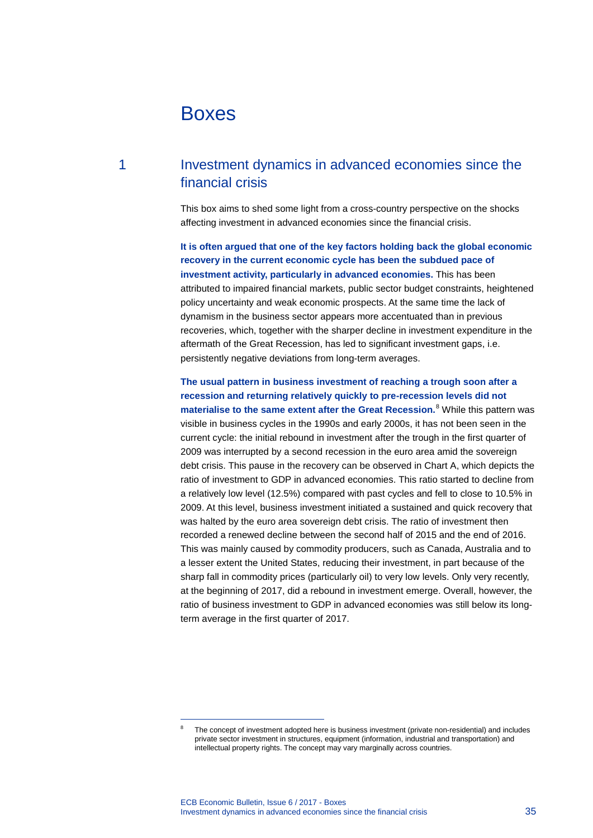# Boxes

## 1 Investment dynamics in advanced economies since the financial crisis

This box aims to shed some light from a cross-country perspective on the shocks affecting investment in advanced economies since the financial crisis.

**It is often argued that one of the key factors holding back the global economic recovery in the current economic cycle has been the subdued pace of investment activity, particularly in advanced economies.** This has been attributed to impaired financial markets, public sector budget constraints, heightened policy uncertainty and weak economic prospects. At the same time the lack of dynamism in the business sector appears more accentuated than in previous recoveries, which, together with the sharper decline in investment expenditure in the aftermath of the Great Recession, has led to significant investment gaps, i.e. persistently negative deviations from long-term averages.

## **The usual pattern in business investment of reaching a trough soon after a recession and returning relatively quickly to pre-recession levels did not**

**materialise to the same extent after the Great Recession.**[8](#page-0-0) While this pattern was visible in business cycles in the 1990s and early 2000s, it has not been seen in the current cycle: the initial rebound in investment after the trough in the first quarter of 2009 was interrupted by a second recession in the euro area amid the sovereign debt crisis. This pause in the recovery can be observed in Chart A, which depicts the ratio of investment to GDP in advanced economies. This ratio started to decline from a relatively low level (12.5%) compared with past cycles and fell to close to 10.5% in 2009. At this level, business investment initiated a sustained and quick recovery that was halted by the euro area sovereign debt crisis. The ratio of investment then recorded a renewed decline between the second half of 2015 and the end of 2016. This was mainly caused by commodity producers, such as Canada, Australia and to a lesser extent the United States, reducing their investment, in part because of the sharp fall in commodity prices (particularly oil) to very low levels. Only very recently, at the beginning of 2017, did a rebound in investment emerge. Overall, however, the ratio of business investment to GDP in advanced economies was still below its longterm average in the first quarter of 2017.

<span id="page-0-0"></span>-

The concept of investment adopted here is business investment (private non-residential) and includes private sector investment in structures, equipment (information, industrial and transportation) and intellectual property rights. The concept may vary marginally across countries.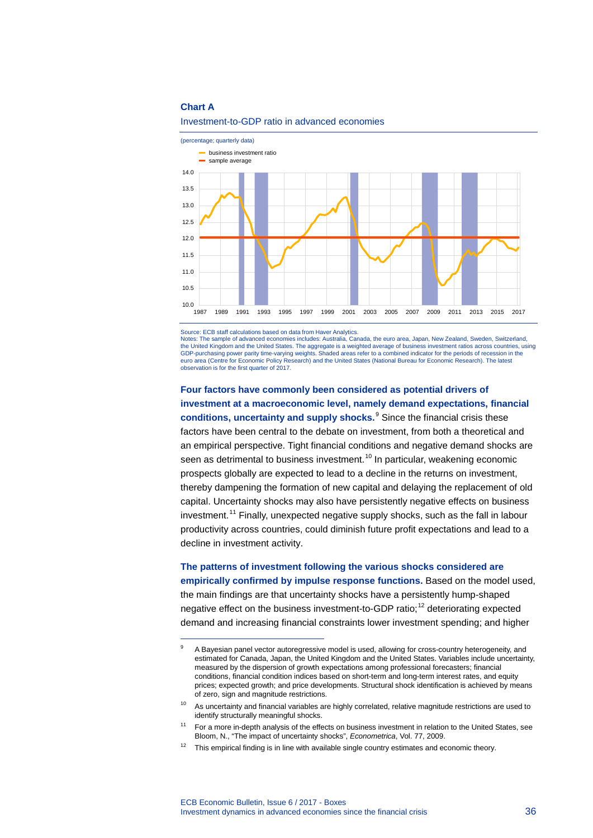#### **Chart A**

<span id="page-1-0"></span>-



Investment-to-GDP ratio in advanced economies

Source: ECB staff calculations based on data from Haver Analytics.

Notes: The sample of advanced economies includes: Australia, Canada, the euro area, Japan, New Zealand, Sweden, Switzerland, the United Kingdom and the United States. The aggregate is a weighted average of business investment ratios across countries, using GDP-purchasing power parity time-varying weights. Shaded areas refer to a combined indicator for the periods of recession in the<br>euro area (Centre for Economic Policy Research) and the United States (National Bureau for Ec observation is for the first quarter of 2017.

**Four factors have commonly been considered as potential drivers of investment at a macroeconomic level, namely demand expectations, financial conditions, uncertainty and supply shocks.** [9](#page-1-0) Since the financial crisis these factors have been central to the debate on investment, from both a theoretical and an empirical perspective. Tight financial conditions and negative demand shocks are seen as detrimental to business investment.<sup>[10](#page-1-1)</sup> In particular, weakening economic prospects globally are expected to lead to a decline in the returns on investment, thereby dampening the formation of new capital and delaying the replacement of old capital. Uncertainty shocks may also have persistently negative effects on business investment.<sup>[11](#page-1-2)</sup> Finally, unexpected negative supply shocks, such as the fall in labour productivity across countries, could diminish future profit expectations and lead to a decline in investment activity.

**The patterns of investment following the various shocks considered are empirically confirmed by impulse response functions.** Based on the model used, the main findings are that uncertainty shocks have a persistently hump-shaped negative effect on the business investment-to-GDP ratio;<sup>[12](#page-1-3)</sup> deteriorating expected demand and increasing financial constraints lower investment spending; and higher

A Bayesian panel vector autoregressive model is used, allowing for cross-country heterogeneity, and estimated for Canada, Japan, the United Kingdom and the United States. Variables include uncertainty, measured by the dispersion of growth expectations among professional forecasters; financial conditions, financial condition indices based on short-term and long-term interest rates, and equity prices; expected growth; and price developments. Structural shock identification is achieved by means of zero, sign and magnitude restrictions.

<span id="page-1-1"></span><sup>&</sup>lt;sup>10</sup> As uncertainty and financial variables are highly correlated, relative magnitude restrictions are used to identify structurally meaningful shocks.

<span id="page-1-2"></span><sup>&</sup>lt;sup>11</sup> For a more in-depth analysis of the effects on business investment in relation to the United States, see Bloom, N., "The impact of uncertainty shocks", *Econometrica*, Vol. 77, 2009.

<span id="page-1-3"></span> $12$  This empirical finding is in line with available single country estimates and economic theory.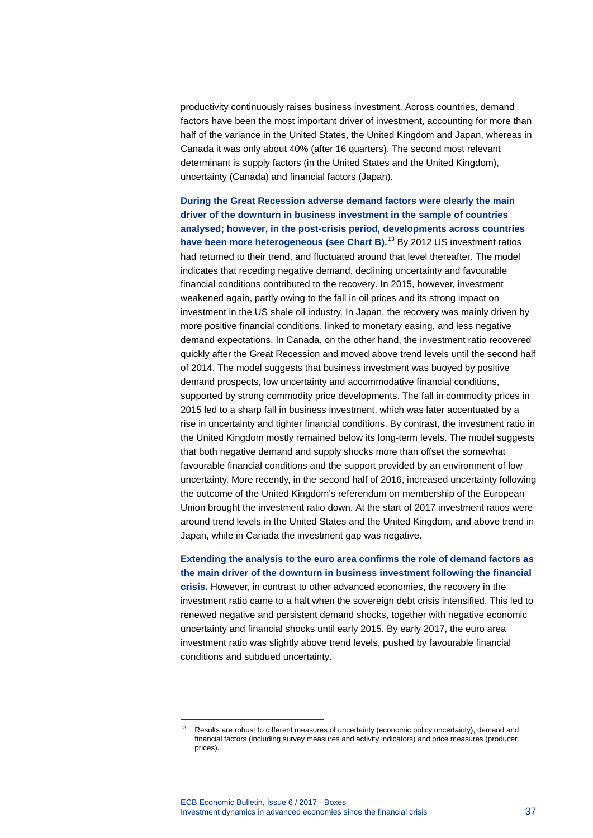productivity continuously raises business investment. Across countries, demand factors have been the most important driver of investment, accounting for more than half of the variance in the United States, the United Kingdom and Japan, whereas in Canada it was only about 40% (after 16 quarters). The second most relevant determinant is supply factors (in the United States and the United Kingdom), uncertainty (Canada) and financial factors (Japan).

**During the Great Recession adverse demand factors were clearly the main driver of the downturn in business investment in the sample of countries analysed; however, in the post-crisis period, developments across countries have been more heterogeneous (see Chart B).**[13](#page-2-0) By 2012 US investment ratios had returned to their trend, and fluctuated around that level thereafter. The model indicates that receding negative demand, declining uncertainty and favourable financial conditions contributed to the recovery. In 2015, however, investment weakened again, partly owing to the fall in oil prices and its strong impact on investment in the US shale oil industry. In Japan, the recovery was mainly driven by more positive financial conditions, linked to monetary easing, and less negative demand expectations. In Canada, on the other hand, the investment ratio recovered quickly after the Great Recession and moved above trend levels until the second half of 2014. The model suggests that business investment was buoyed by positive demand prospects, low uncertainty and accommodative financial conditions, supported by strong commodity price developments. The fall in commodity prices in 2015 led to a sharp fall in business investment, which was later accentuated by a rise in uncertainty and tighter financial conditions. By contrast, the investment ratio in the United Kingdom mostly remained below its long-term levels. The model suggests that both negative demand and supply shocks more than offset the somewhat favourable financial conditions and the support provided by an environment of low uncertainty. More recently, in the second half of 2016, increased uncertainty following the outcome of the United Kingdom's referendum on membership of the European Union brought the investment ratio down. At the start of 2017 investment ratios were around trend levels in the United States and the United Kingdom, and above trend in Japan, while in Canada the investment gap was negative.

**Extending the analysis to the euro area confirms the role of demand factors as the main driver of the downturn in business investment following the financial crisis.** However, in contrast to other advanced economies, the recovery in the investment ratio came to a halt when the sovereign debt crisis intensified. This led to renewed negative and persistent demand shocks, together with negative economic uncertainty and financial shocks until early 2015. By early 2017, the euro area investment ratio was slightly above trend levels, pushed by favourable financial conditions and subdued uncertainty.

-

<span id="page-2-0"></span> $13$  Results are robust to different measures of uncertainty (economic policy uncertainty), demand and financial factors (including survey measures and activity indicators) and price measures (producer prices).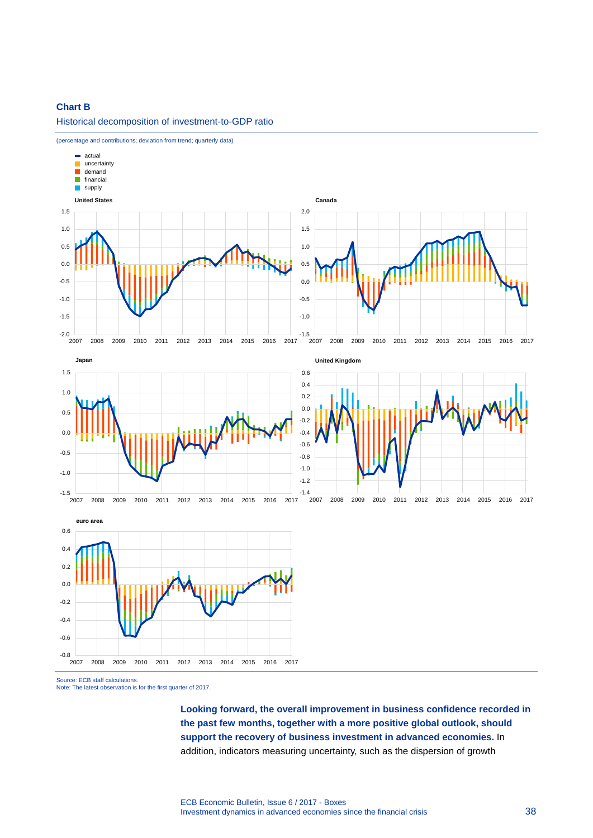#### **Chart B**

Historical decomposition of investment-to-GDP ratio



(percentage and contributions; deviation from trend; quarterly data)

Source: ECB staff calculations

Note: The latest observation is for the first quarter of 2017.

2007 2008 2009 2010 2011 2012 2013 2014 2015 2016 2017

**Looking forward, the overall improvement in business confidence recorded in the past few months, together with a more positive global outlook, should support the recovery of business investment in advanced economies.** In addition, indicators measuring uncertainty, such as the dispersion of growth